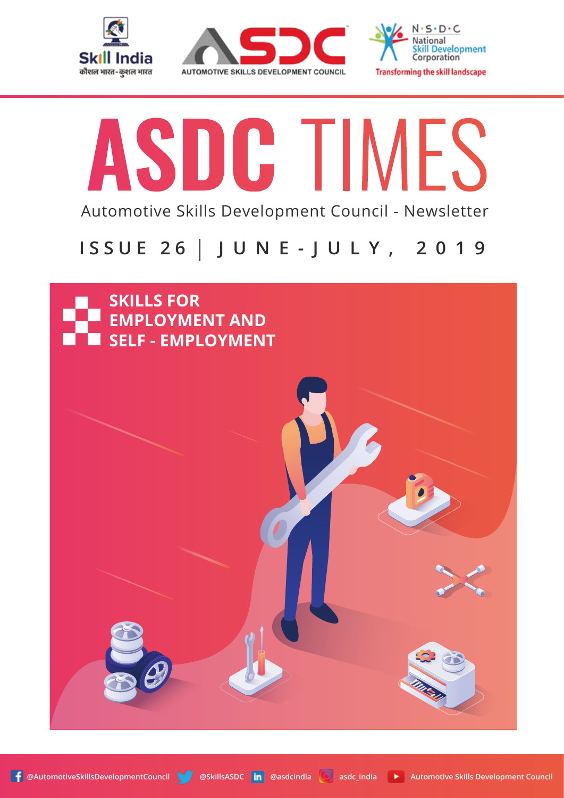





# ASDC TIMES Automotive Skills Development Council - Newsletter

# **ISSUE 26 JUNE-JULY, 2019**

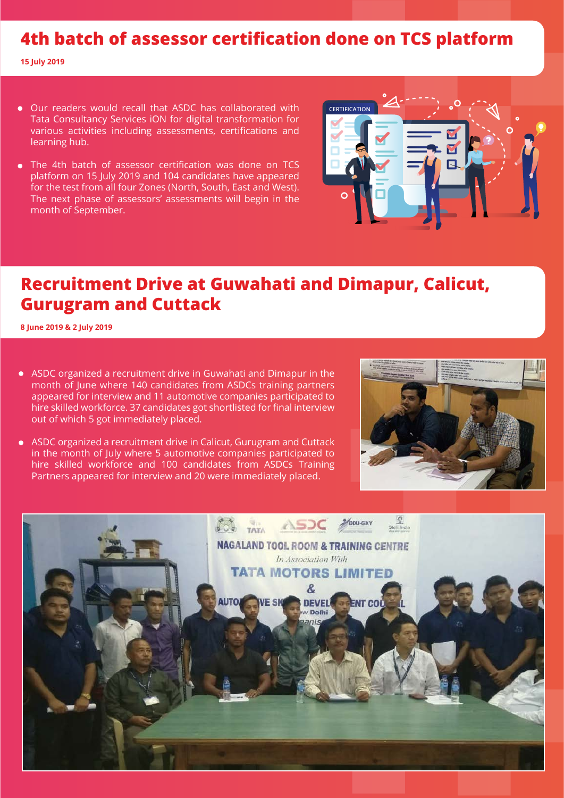# **4th batch of assessor certification done on TCS platform**

**15 July 2019**

- Our readers would recall that ASDC has collaborated with Tata Consultancy Services iON for digital transformation for various activities including assessments, certifications and learning hub.
- The 4th batch of assessor certification was done on TCS platform on 15 July 2019 and 104 candidates have appeared for the test from all four Zones (North, South, East and West). The next phase of assessors' assessments will begin in the month of September.



# **Recruitment Drive at Guwahati and Dimapur, Calicut, Gurugram and Cuttack**

**8 June 2019 & 2 July 2019**

- ASDC organized a recruitment drive in Guwahati and Dimapur in the month of June where 140 candidates from ASDCs training partners appeared for interview and 11 automotive companies participated to hire skilled workforce. 37 candidates got shortlisted for final interview out of which 5 got immediately placed.
- ASDC organized a recruitment drive in Calicut, Gurugram and Cuttack in the month of July where 5 automotive companies participated to hire skilled workforce and 100 candidates from ASDCs Training Partners appeared for interview and 20 were immediately placed.



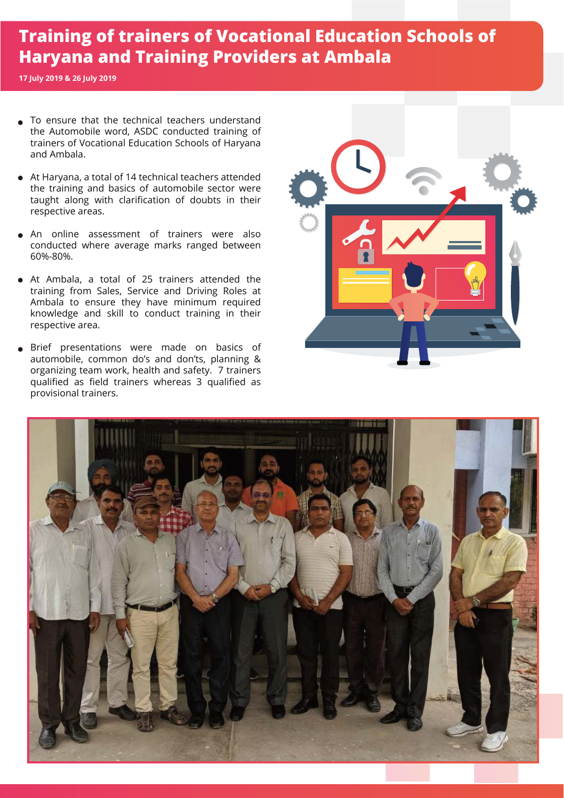# **Training of trainers of Vocational Education Schools of Haryana and Training Providers at Ambala**

**17 July 2019 & 26 July 2019**

- To ensure that the technical teachers understand the Automobile word, ASDC conducted training of trainers of Vocational Education Schools of Haryana and Ambala.
- At Haryana, a total of 14 technical teachers attended the training and basics of automobile sector were taught along with clarification of doubts in their respective areas.
- An online assessment of trainers were also conducted where average marks ranged between 60%-80%.
- At Ambala, a total of 25 trainers attended the training from Sales, Service and Driving Roles at Ambala to ensure they have minimum required knowledge and skill to conduct training in their respective area.
- Brief presentations were made on basics of automobile, common do's and don'ts, planning & organizing team work, health and safety. 7 trainers qualified as field trainers whereas 3 qualified as provisional trainers.



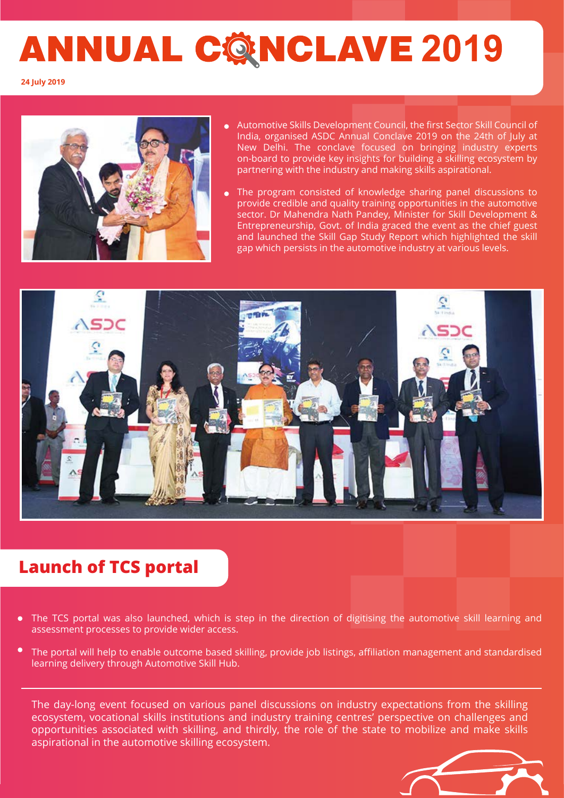# **ANNUAL CONCLAVE 2019**

**24 July 2019**



- Automotive Skills Development Council, the first Sector Skill Council of India, organised ASDC Annual Conclave 2019 on the 24th of July at New Delhi. The conclave focused on bringing industry experts on-board to provide key insights for building a skilling ecosystem by partnering with the industry and making skills aspirational.
- The program consisted of knowledge sharing panel discussions to provide credible and quality training opportunities in the automotive sector. Dr Mahendra Nath Pandey, Minister for Skill Development & Entrepreneurship, Govt. of India graced the event as the chief guest and launched the Skill Gap Study Report which highlighted the skill gap which persists in the automotive industry at various levels.



# **Launch of TCS portal**

- The TCS portal was also launched, which is step in the direction of digitising the automotive skill learning and assessment processes to provide wider access.
- $\bullet$ The portal will help to enable outcome based skilling, provide job listings, affiliation management and standardised learning delivery through Automotive Skill Hub.

The day-long event focused on various panel discussions on industry expectations from the skilling ecosystem, vocational skills institutions and industry training centres' perspective on challenges and opportunities associated with skilling, and thirdly, the role of the state to mobilize and make skills aspirational in the automotive skilling ecosystem.

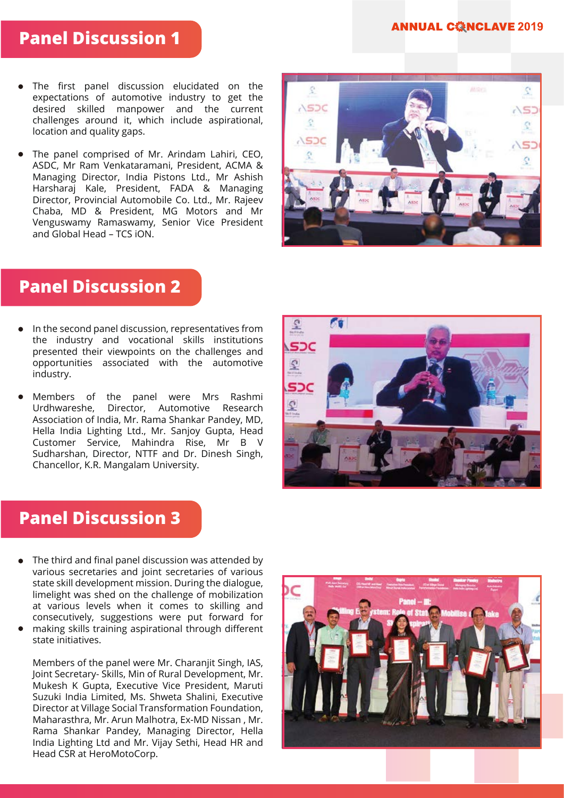#### **ANNUAL CONCLAVE 2019**

#### **Panel Discussion 1**

- The first panel discussion elucidated on the expectations of automotive industry to get the desired skilled manpower and the current challenges around it, which include aspirational, location and quality gaps.
- The panel comprised of Mr. Arindam Lahiri, CEO, ASDC, Mr Ram Venkataramani, President, ACMA & Managing Director, India Pistons Ltd., Mr Ashish Harsharaj Kale, President, FADA & Managing Director, Provincial Automobile Co. Ltd., Mr. Rajeev Chaba, MD & President, MG Motors and Mr Venguswamy Ramaswamy, Senior Vice President and Global Head – TCS iON.



## **Panel Discussion 2**

- In the second panel discussion, representatives from the industry and vocational skills institutions presented their viewpoints on the challenges and opportunities associated with the automotive industry.
- Members of the panel were Mrs Rashmi Urdhwareshe, Director, Automotive Research Association of India, Mr. Rama Shankar Pandey, MD, Hella India Lighting Ltd., Mr. Sanjoy Gupta, Head Customer Service, Mahindra Rise, Mr B V Sudharshan, Director, NTTF and Dr. Dinesh Singh, Chancellor, K.R. Mangalam University.



# **Panel Discussion 3**

- The third and final panel discussion was attended by various secretaries and joint secretaries of various state skill development mission. During the dialogue, limelight was shed on the challenge of mobilization at various levels when it comes to skilling and consecutively, suggestions were put forward for
- making skills training aspirational through different state initiatives.

Members of the panel were Mr. Charanjit Singh, IAS, Joint Secretary- Skills, Min of Rural Development, Mr. Mukesh K Gupta, Executive Vice President, Maruti Suzuki India Limited, Ms. Shweta Shalini, Executive Director at Village Social Transformation Foundation, Maharasthra, Mr. Arun Malhotra, Ex-MD Nissan , Mr. Rama Shankar Pandey, Managing Director, Hella India Lighting Ltd and Mr. Vijay Sethi, Head HR and Head CSR at HeroMotoCorp.

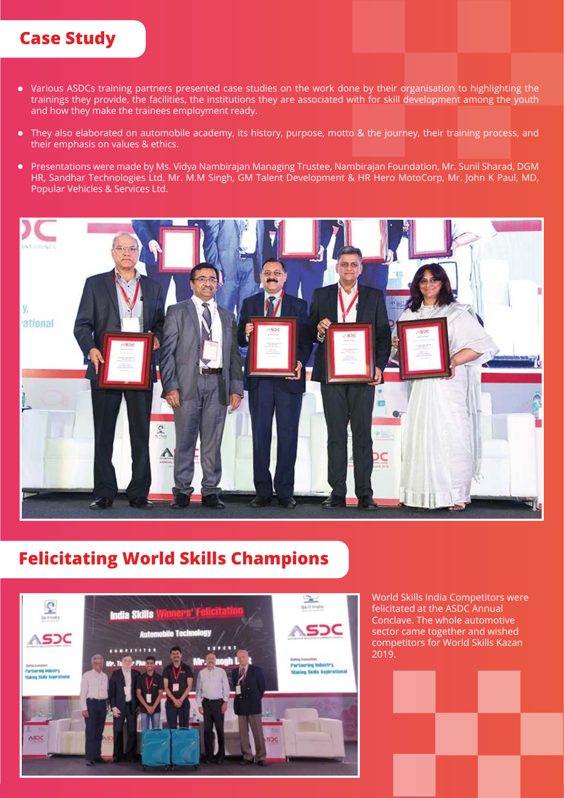# **Case Study**

- Various ASDCs training partners presented case studies on the work done by their organisation to highlighting the trainings they provide, the facilities, the institutions they are associated with for skill development among the youth and how they make the trainees employment ready.
- They also elaborated on automobile academy, its history, purpose, motto & the journey, their training process, and their emphasis on values & ethics.
- Presentations were made by Ms. Vidya Nambirajan Managing Trustee, Nambirajan Foundation, Mr. Sunil Sharad, DGM HR, Sandhar Technologies Ltd, Mr. M.M Singh, GM Talent Development & HR Hero MotoCorp, Mr. John K Paul, MD, Popular Vehicles & Services Ltd.



# **Felicitating World Skills Champions**



World Skills India Competitors were felicitated at the ASDC Annual Conclave. The whole automotive sector came together and wished competitors for World Skills Kazan 2019.